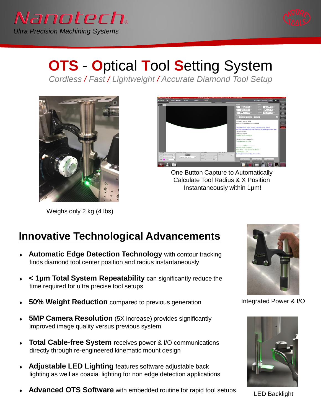



## **OTS** - **O**ptical **T**ool **S**etting System

*Cordless / Fast / Lightweight / Accurate Diamond Tool Setup* 



Weighs only 2 kg (4 lbs)



One Button Capture to Automatically Calculate Tool Radius & X Position Instantaneously within 1µm!

## **Innovative Technological Advancements**

- **Automatic Edge Detection Technology** with contour tracking finds diamond tool center position and radius instantaneously
- **< 1µm Total System Repeatability** can significantly reduce the time required for ultra precise tool setups
- **50% Weight Reduction** compared to previous generation
- **5MP Camera Resolution** (5X increase) provides significantly improved image quality versus previous system
- **Total Cable-free System** receives power & I/O communications directly through re-engineered kinematic mount design
- **Adjustable LED Lighting** features software adjustable back lighting as well as coaxial lighting for non edge detection applications
- **Advanced OTS Software** with embedded routine for rapid tool setups



Integrated Power & I/O



LED Backlight